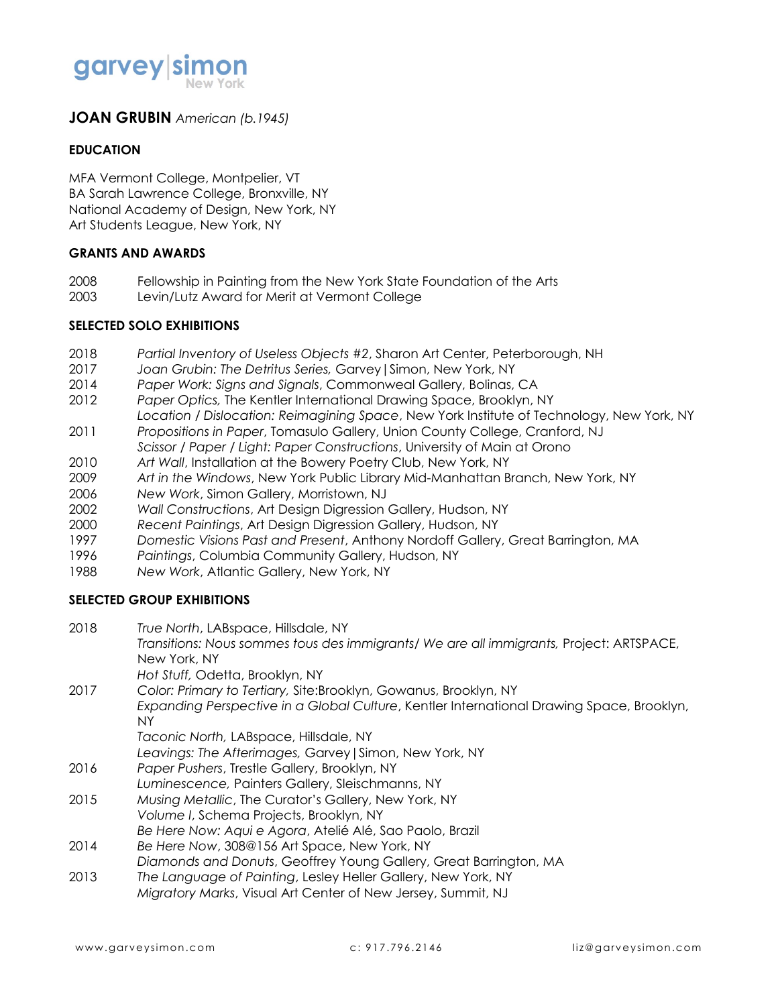

### **JOAN GRUBIN** *American (b.1945)*

#### **EDUCATION**

MFA Vermont College, Montpelier, VT BA Sarah Lawrence College, Bronxville, NY National Academy of Design, New York, NY Art Students League, New York, NY

#### **GRANTS AND AWARDS**

- 2008 Fellowship in Painting from the New York State Foundation of the Arts
- 2003 Levin/Lutz Award for Merit at Vermont College

#### **SELECTED SOLO EXHIBITIONS**

- 2018 *Partial Inventory of Useless Objects #2*, Sharon Art Center, Peterborough, NH
- 2017 *Joan Grubin: The Detritus Series,* Garvey|Simon, New York, NY
- 2014 *Paper Work: Signs and Signals*, Commonweal Gallery, Bolinas, CA
- 2012 *Paper Optics,* The Kentler International Drawing Space, Brooklyn, NY
- *Location / Dislocation: Reimagining Space*, New York Institute of Technology, New York, NY
- 2011 *Propositions in Paper*, Tomasulo Gallery, Union County College, Cranford, NJ *Scissor / Paper / Light: Paper Constructions*, University of Main at Orono
- 2010 *Art Wall*, Installation at the Bowery Poetry Club, New York, NY
- 2009 *Art in the Windows*, New York Public Library Mid-Manhattan Branch, New York, NY
- 2006 *New Work*, Simon Gallery, Morristown, NJ
- 2002 *Wall Constructions*, Art Design Digression Gallery, Hudson, NY
- 2000 *Recent Paintings*, Art Design Digression Gallery, Hudson, NY
- 1997 *Domestic Visions Past and Present*, Anthony Nordoff Gallery, Great Barrington, MA
- 1996 *Paintings*, Columbia Community Gallery, Hudson, NY
- 1988 *New Work*, Atlantic Gallery, New York, NY

#### **SELECTED GROUP EXHIBITIONS**

2018 *True North*, LABspace, Hillsdale, NY *Transitions: Nous sommes tous des immigrants/ We are all immigrants,* Project: ARTSPACE, New York, NY *Hot Stuff,* Odetta, Brooklyn, NY 2017 *Color: Primary to Tertiary,* Site:Brooklyn, Gowanus, Brooklyn, NY *Expanding Perspective in a Global Culture*, Kentler International Drawing Space, Brooklyn, NY *Taconic North,* LABspace, Hillsdale, NY *Leavings: The Afterimages,* Garvey|Simon, New York, NY 2016 *Paper Pushers*, Trestle Gallery, Brooklyn, NY *Luminescence,* Painters Gallery, Sleischmanns, NY 2015 *Musing Metallic*, The Curator's Gallery, New York, NY *Volume I*, Schema Projects, Brooklyn, NY *Be Here Now: Aqui e Agora*, Atelié Alé, Sao Paolo, Brazil 2014 *Be Here Now*, 308@156 Art Space, New York, NY *Diamonds and Donuts*, Geoffrey Young Gallery, Great Barrington, MA 2013 *The Language of Painting*, Lesley Heller Gallery, New York, NY *Migratory Marks*, Visual Art Center of New Jersey, Summit, NJ